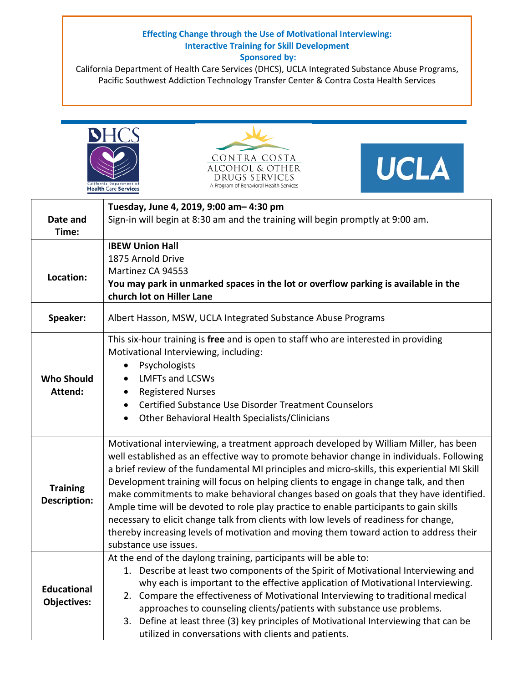## **Effecting Change through the Use of Motivational Interviewing: Interactive Training for Skill Development Sponsored by:**

California Department of Health Care Services (DHCS), UCLA Integrated Substance Abuse Programs, Pacific Southwest Addiction Technology Transfer Center & Contra Costa Health Services







| Date and<br>Time:                        | Tuesday, June 4, 2019, 9:00 am-4:30 pm<br>Sign-in will begin at 8:30 am and the training will begin promptly at 9:00 am.                                                                                                                                                                                                                                                                                                                                                                                                                                                                                                                                                                                                                                                   |
|------------------------------------------|----------------------------------------------------------------------------------------------------------------------------------------------------------------------------------------------------------------------------------------------------------------------------------------------------------------------------------------------------------------------------------------------------------------------------------------------------------------------------------------------------------------------------------------------------------------------------------------------------------------------------------------------------------------------------------------------------------------------------------------------------------------------------|
| Location:                                | <b>IBEW Union Hall</b><br>1875 Arnold Drive<br>Martinez CA 94553<br>You may park in unmarked spaces in the lot or overflow parking is available in the<br>church lot on Hiller Lane                                                                                                                                                                                                                                                                                                                                                                                                                                                                                                                                                                                        |
| Speaker:                                 | Albert Hasson, MSW, UCLA Integrated Substance Abuse Programs                                                                                                                                                                                                                                                                                                                                                                                                                                                                                                                                                                                                                                                                                                               |
| <b>Who Should</b><br>Attend:             | This six-hour training is free and is open to staff who are interested in providing<br>Motivational Interviewing, including:<br>Psychologists<br><b>LMFTs and LCSWs</b><br><b>Registered Nurses</b><br>$\bullet$<br>Certified Substance Use Disorder Treatment Counselors<br>$\bullet$<br>Other Behavioral Health Specialists/Clinicians<br>$\bullet$                                                                                                                                                                                                                                                                                                                                                                                                                      |
| <b>Training</b><br><b>Description:</b>   | Motivational interviewing, a treatment approach developed by William Miller, has been<br>well established as an effective way to promote behavior change in individuals. Following<br>a brief review of the fundamental MI principles and micro-skills, this experiential MI Skill<br>Development training will focus on helping clients to engage in change talk, and then<br>make commitments to make behavioral changes based on goals that they have identified.<br>Ample time will be devoted to role play practice to enable participants to gain skills<br>necessary to elicit change talk from clients with low levels of readiness for change,<br>thereby increasing levels of motivation and moving them toward action to address their<br>substance use issues. |
| <b>Educational</b><br><b>Objectives:</b> | At the end of the daylong training, participants will be able to:<br>1. Describe at least two components of the Spirit of Motivational Interviewing and<br>why each is important to the effective application of Motivational Interviewing.<br>2. Compare the effectiveness of Motivational Interviewing to traditional medical<br>approaches to counseling clients/patients with substance use problems.<br>3. Define at least three (3) key principles of Motivational Interviewing that can be<br>utilized in conversations with clients and patients.                                                                                                                                                                                                                  |